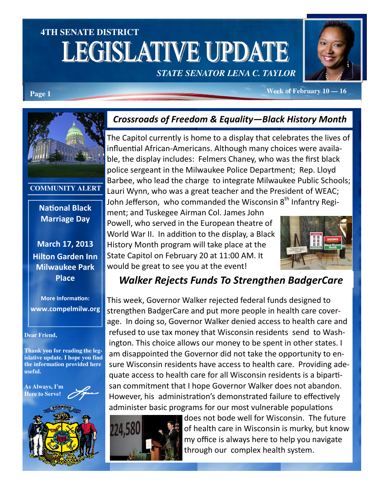# **4TH SENATE DISTRICT LEGISLATIVE UPDATE**





**Page 1** *Page 1 Page 1 Page 1* **<b>***Page 1 Page 1 Page 1 Page 1 Page 1 Page 1 Page 1 Page 1 Page 1 Page 1 Page 1 Page 1 Page 1 Page 1 Page 1 Page 1 Pag* 

**COMMUNITY ALERT** 

**National Black** Marriage Day

March 17, 2013 Hilton Garden Inn Milwaukee Park Place

**More Information:** www.compelmilw.org

#### **Dear Friend,**

**Thank you for reading the legislative update. I hope you find the information provided here useful.** 

**As Always, I'm Here to Serve**!



### Crossroads of Freedom & Equality—Black History Month

The Capitol currently is home to a display that celebrates the lives of influential African-Americans. Although many choices were available, the display includes: Felmers Chaney, who was the first black police sergeant in the Milwaukee Police Department; Rep. Lloyd Barbee, who lead the charge to integrate Milwaukee Public Schools; Lauri Wynn, who was a great teacher and the President of WEAC; John Jefferson, who commanded the Wisconsin  $8<sup>th</sup>$  Infantry Regi-

ment; and Tuskegee Airman Col. James John Powell, who served in the European theatre of World War II. In addition to the display, a Black History Month program will take place at the State Capitol on February 20 at 11:00 AM. It would be great to see you at the event!



### Walker Rejects Funds To Strengthen BadgerCare

This week, Governor Walker rejected federal funds designed to strengthen BadgerCare and put more people in health care coverage. In doing so, Governor Walker denied access to health care and refused to use tax money that Wisconsin residents send to Washington. This choice allows our money to be spent in other states. I am disappointed the Governor did not take the opportunity to ensure Wisconsin residents have access to health care. Providing adequate access to health care for all Wisconsin residents is a bipartisan commitment that I hope Governor Walker does not abandon. However, his administration's demonstrated failure to effectively administer basic programs for our most vulnerable populations



does not bode well for Wisconsin. The future of health care in Wisconsin is murky, but know my office is always here to help you navigate through our complex health system.